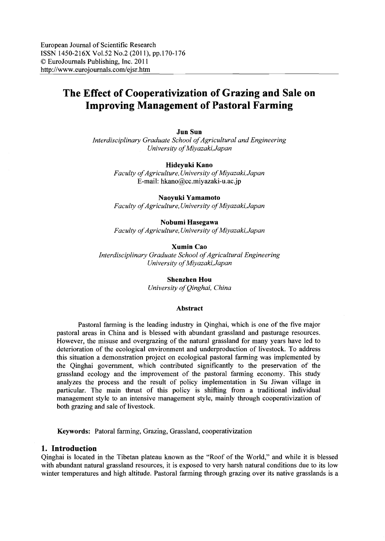#### **Jun** Sun

*Interdisciplinary Graduate School of Agricultural and Engineering University ofMiyazaki,Japan*

### Hideyuki Kano

*Faculty ofAgriculture, University ofMiyazaki, Japan* E-mail: hkano@cc.miyazaki-u.ac.jp

# Naoyuki Yamamoto

*Faculty ofAgriculture, University ofMiyazaki, Japan*

# Nobumi Hasegawa

*Faculty ofAgriculture, University ofMiyazaki,Japan*

#### Xumin Cao

*Interdisciplinary Graduate School ofAgricultural Engineering University ofMiyazaki, Japan*

> Shenzhen Hou *University ofQinghai, China*

#### Abstract

Pastoral farming is the leading industry in Qinghai, which is one of the five major pastoral areas in China and is blessed with abundant grassland and pasturage resources. However, the misuse and overgrazing of the natural grassland for many years have led to deterioration of the ecological environment and underproduction of livestock. To address this situation a demonstration project on ecological pastoral farming was implemented by the Qinghai government, which contributed significantly to the preservation of the grassland ecology and the improvement of the pastoral farming economy. This study analyzes the process and the result of policy implementation in Su Jiwan village in particular. The main thrust of this policy is shifting from a traditional individual management style to an intensive management style, mainly through cooperativization of both grazing and sale of livestock.

Keywords: Patoral farming, Grazing, Grassland, cooperativization

#### **1. Introduction**

Qinghai is located in the Tibetan plateau known as the "Roof of the World," and while it is blessed with abundant natural grassland resources, it is exposed to very harsh natural conditions due to its low winter temperatures and high altitude. Pastoral farming through grazing over its native grasslands is a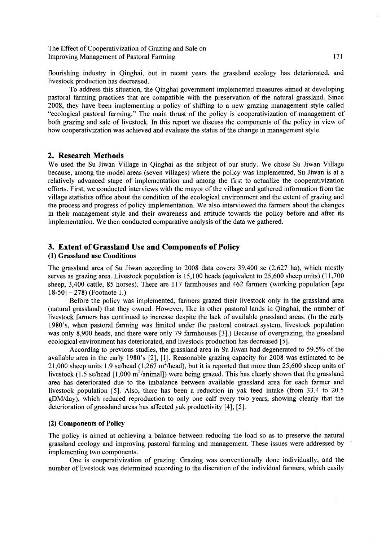flourishing industry in Qinghai, but in recent years the grassland ecology has deteriorated, and livestock production has decreased.

To address this situation, the Qinghai government implemented measures aimed at developing pastoral farming practices that are compatible with the preservation of the natural grassland. Since 2008, they have been implementing a policy of shifting to a new grazing management style called "ecological pastoral farming." The main thrust of the policy is cooperativization of management of both grazing and sale of livestock. In this report we discuss the components of the policy in view of how cooperativization was achieved and evaluate the status of the change in management style.

# 2. Research Methods

We used the Su Jiwan Village in Qinghai as the subject of our study. We chose Su Jiwan Village because, among the model areas (seven villages) where the policy was implemented, Su Jiwan is at a relatively advanced stage of implementation and among the first to actualize the cooperativization efforts. First, we conducted interviews with the mayor ofthe village and gathered information from the village statistics office about the condition of the ecological environment and the extent of grazing and the process and progress of policy implementation. We also interviewed the farmers about the changes in their management style and their awareness and attitude towards the policy before and after its implementation. We then conducted comparative analysis of the data we gathered.

# 3. Extent of Grassland Use and Components of Policy

# (1) Grassland use Conditions

The grassland area of Su Jiwan according to 2008 data covers 39,400 se (2,627 ha), which mostly serves as grazing area. Livestock population is 15,100 heads (equivalent to 25,600 sheep units) (11,700 sheep, 3,400 cattle, 85 horses). There are 117 farmhouses and 462 farmers (working population [age  $18-50$ ]  $-278$ ) (Footnote 1.)

Before the policy was implemented, farmers grazed their livestock only in the grassland area (natural grassland) that they owned. However, like in other pastoral lands in Qinghai, the number of livestock farmers has continued to increase despite the lack of available grassland areas. (In the early 1980's, when pastoral farming was limited under the pastoral contract system, livestock population was only 8,900 heads, and there were only 79 farmhouses [3].) Because of overgrazing, the grassland ecological environment has deteriorated, and livestock production has decreased [5].

According to previous studies, the grassland area in Su Jiwan had degenerated to 59.5% of the available area in the early 1980's [2], [1]. Reasonable grazing capacity for 2008 was estimated to be 21,000 sheep units 1.9 se/head  $(1,267 \text{ m}^2/\text{head})$ , but it is reported that more than 25,600 sheep units of livestock (1.5 se/head [1,000 m<sup>2</sup>/animal]) were being grazed. This has clearly shown that the grassland area has deteriorated due to the imbalance between available grassland area for each farmer and livestock population [5]. Also, there has been a reduction in yak feed intake (from 33.4 to 20.5 gDM/day), which reduced reproduction to only one calf every two years, showing clearly that the deterioration of grassland areas has affected yak productivity [4], [5].

### (2) Components of Policy

The policy is aimed at achieving a balance between reducing the load so as to preserve the natural grassland ecology and improving pastoral farming and management. These issues were addressed by implementing two components.

One is cooperativization of grazing. Grazing was conventionally done individually, and the number of livestock was determined according to the discretion of the individual farmers, which easily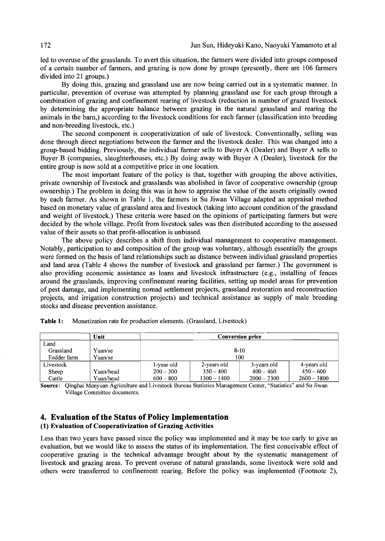led to overuse of the grasslands. To avert this situation, the farmers were divided into groups composed of a certain number of farmers, and grazing is now done by groups (presently, there are 106 farmers divided into 21 groups.)

By doing this, grazing and grassland use are now being carried out in a systematic manner. In particular, prevention of overuse was attempted by planning grassland use for each group through a combination of grazing and confinement rearing of livestock (reduction in number of grazed livestock by determining the appropriate balance between grazing in the natural grassland and rearing the animals in the barn,) according to the livestock conditions for each farmer (classification into breeding and non-breeding livestock, etc.)

The second component is cooperativization of sale of livestock. Conventionally, selling was done through direct negotiations between the farmer and the livestock dealer. This was changed into a group-based bidding. Previously, the individual farmer sells to Buyer A (Dealer) and Buyer A sells to Buyer B (companies, slaughterhouses, etc.) By doing away with Buyer A (Dealer), livestock for the entire group is now sold at a competitive price in one location.

The most important feature of the policy is that, together with grouping the above activities, private ownership of livestock and grasslands was abolished in favor of cooperative ownership (group ownership.) The problem in doing this was in how to appraise the value ofthe assets originally owned by each farmer. As shown in Table 1, the farmers in Su Jiwan Village adapted an appraisal method based on monetary value of grassland area and livestock (taking into account condition ofthe grassland and weight of livestock.) These criteria were based on the opinions of participating farmers but were decided by the whole village. Profit from livestock sales was then distributed according to the assessed value of their assets so that profit-allocation is unbiased.

The above policy describes a shift from individual management to cooperative management. Notably, participation to and composition of the group was voluntary, although essentially the groups were formed on the basis of land relationships such as distance between individual grassland properties and land area (Table 4 shows the number of livestock and grassland per farmer.) The government is also providing economic assistance as loans and livestock infrastructure (e.g., installing of fences around the grasslands, improving confinement rearing facilities, setting up model areas for prevention of pest damage, and implementing nomad settlement projects, grassland restoration and reconstruction projects, and irrigation construction projects) and technical assistance as supply of male breeding stocks and disease prevention assistance.

|             | Unit      | <b>Conversion price</b> |             |               |               |  |  |  |
|-------------|-----------|-------------------------|-------------|---------------|---------------|--|--|--|
| Land        |           |                         |             |               |               |  |  |  |
| Grassland   | Yuan/se   |                         |             | $8 - 10$      |               |  |  |  |
| Fodder farm | Yuan/se   | 100                     |             |               |               |  |  |  |
| Livestock   |           | 1-year old              | 2-years old | 3-years old   | 4-years old   |  |  |  |
| Sheep       | Yuan/head | $200 - 300$             | $350 - 400$ | $400 - 460$   | $450 - 600$   |  |  |  |
| Cattle      | Yuan/head | $600 - 800$             | 1300 – 1400 | $2000 - 2300$ | $2600 - 3800$ |  |  |  |

Table 1: Monetization rate for production elements. (Grassland, Livestock)

Source: Qinghai Menyuan Agriculture and Livestock Bureau Statistics Management Center, "Statistics" and Su Jiwan Village Committee documents.

# **4. Evaluation of the Status of Policy Implementation** (1) Evaluation of Cooperativization of Grazing Activities

Less than two years have passed since the policy was implemented and it may be too early to give an evaluation, but we would like to assess the status of its implementation. The first conceivable effect of cooperative grazing is the technical advantage brought about by the systematic management of livestock and grazing areas. To prevent overuse of natural grasslands, some livestock were sold and others were transferred to confinement rearing. Before the policy was implemented (Footnote 2),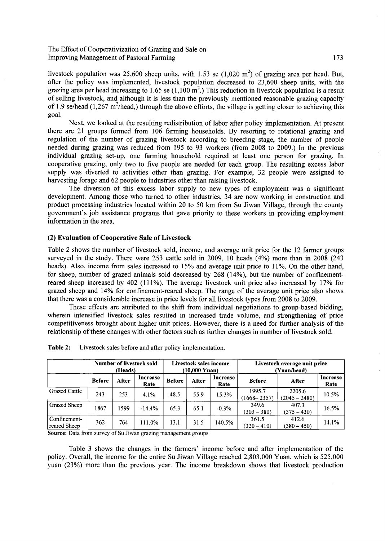livestock population was 25,600 sheep units, with 1.53 se  $(1,020 \text{ m}^2)$  of grazing area per head. But, after the policy was implemented, livestock population decreased to 23,600 sheep units, with the grazing area per head increasing to 1.65 se  $(1,100 \text{ m}^2)$  This reduction in livestock population is a result of selling livestock, and although it is less than the previously mentioned reasonable grazing capacity of 1.9 se/head (1,267 m<sup>2</sup>/head,) through the above efforts, the village is getting closer to achieving this goal.

Next, we looked at the resulting redistribution of labor after policy implementation. At present there are 21 groups formed from 106 farming households. By resorting to rotational grazing and regulation of the number of grazing livestock according to breeding stage, the number of people needed during grazing was reduced from 195 to 93 workers (from 2008 to 2009.) In the previous individual grazing set-up, one farming household required at least one person for grazing. In cooperative grazing, only two to five people are needed for each group. The resulting excess labor supply was diverted to activities other than grazing. For example, 32 people were assigned to harvesting forage and 62 people to industries other than raising livestock.

The diversion of this excess labor supply to new types of employment was a significant development. Among those who turned to other industries, 34 are now working in construction and product processing industries located within 20 to 50 km from Su Jiwan Village, through the county government's job assistance programs that gave priority to these workers in providing employment information in the area.

### (2) Evaluation of Cooperative Sale of Livestock

Table 2 shows the number of livestock sold, income, and average unit price for the 12 farmer groups surveyed in the study. There were 253 cattle sold in 2009, 10 heads (4%) more than in 2008 (243 heads). Also, income from sales increased to 15% and average unit price to 11%. On the other hand, for sheep, number of grazed animals sold decreased by 268 (14%), but the number of confinementreared sheep increased by 402 (111%). The average livestock unit price also increased by 17% for grazed sheep and 14% for confinement-reared sheep. The range of the average unit price also shows that there was a considerable increase in price levels for all livestock types from 2008 to 2009.

These effects are attributed to the shift from individual negotiations to group-based bidding, wherein intensified livestock sales resulted in increased trade volume, and strengthening of price competitiveness brought about higher unit prices. However, there is a need for further analysis of the relationship of these changes with other factors such as further changes in number of livestock sold.

|                              | Number of livestock sold<br>(Heads) |       |                  | Livestock sales income<br>(10.000 Yuan) |       |                  | Livestock average unit price<br>(Yuan/head) |                           |                  |
|------------------------------|-------------------------------------|-------|------------------|-----------------------------------------|-------|------------------|---------------------------------------------|---------------------------|------------------|
|                              | <b>Before</b>                       | After | Increase<br>Rate | <b>Before</b>                           | After | Increase<br>Rate | <b>Before</b>                               | After                     | Increase<br>Rate |
| Grazed Cattle                | 243                                 | 253   | 4.1%             | 48.5                                    | 55.9  | 15.3%            | 1995.7<br>$(1668 - 2357)$                   | 2205.6<br>$(2045 - 2480)$ | 10.5%            |
| Grazed Sheep                 | 1867                                | 1599  | $-14.4%$         | 65.3                                    | 65.1  | $-0.3%$          | 349.6<br>$(303 - 380)$                      | 407.3<br>$(375 - 430)$    | 16.5%            |
| Confinement-<br>reared Sheep | 362                                 | 764   | 111.0%           | 13.1                                    | 31.5  | 140.5%           | 361.5<br>$(320 - 410)$                      | 412.6<br>$(380 - 450)$    | 14.1%            |

| Table 2: |  |  |  | Livestock sales before and after policy implementation. |
|----------|--|--|--|---------------------------------------------------------|
|----------|--|--|--|---------------------------------------------------------|

Source: Data from survey of Su Jiwan grazing management groups

Table 3 shows the changes in the farmers' income before and after implementation of the policy. Overall, the income for the entire Su Jiwan Village reached 2,803,000 Yuan, which is 525,000 yuan (23%) more than the previous year. The income breakdown shows that livestock production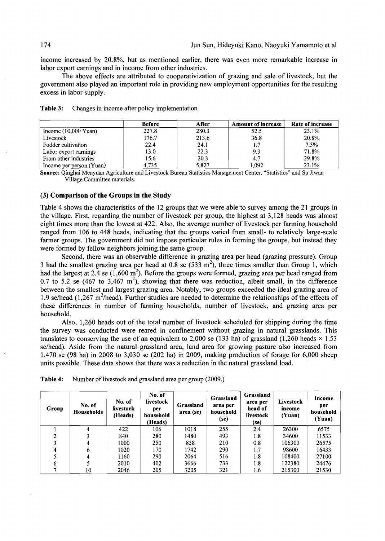income increased by 20.8%, but as mentioned earlier, there was even more remarkable increase in labor export earnings and in income from other industries.

The above effects are attributed to cooperativization of grazing and sale of livestock, but the government also played an important role in providing new employment opportunities for the resulting excess in labor supply.

|                                | <b>Before</b> | After | <b>Amount of increase</b> | Rate of increase |
|--------------------------------|---------------|-------|---------------------------|------------------|
| Income $(10,000 \text{ Yuan})$ | 227.8         | 280.3 | 52.5                      | 23.1%            |
| Livestock                      | 176.7         | 213.6 | 36.8                      | 20.8%            |
| Fodder cultivation             | 22.4          | 24.1  | 1.7                       | 7.5%             |
| Labor export earnings          | 13.0          | 22.3  | 9.3                       | 71.8%            |
| From other industries          | 15.6          | 20.3  | 4.7                       | 29.8%            |
| Income per person (Yuan)       | 4.735         | 5,827 | 1.092                     | 23.1%            |

Table 3: Changes in income after policy implementation

Source: Qinghai Menyuan Agriculture and Livestock Bureau Statistics Management Center, "Statistics" and Su Jiwan Village Committee materials.

## (3) Comparison of the Groups in the Study

Table 4 shows the characteristics of the 12 groups that we were able to survey among the 21 groups in the village. First, regarding the number of livestock per group, the highest at 3,128 heads was almost eight times more than the lowest at 422. Also, the average number of livestock per farming household ranged from 106 to 448 heads, indicating that the groups varied from small- to relatively large-scale farmer groups. The government did not impose particular rules in forming the groups, but instead they were formed by fellow neighbors joining the same group.

Second, there was an observable difference in grazing area per head (grazing pressure). Group 3 had the smallest grazing area per head at 0.8 se  $(533 \text{ m}^2)$ , three times smaller than Group 1, which had the largest at 2.4 se  $(1,600 \text{ m}^2)$ . Before the groups were formed, grazing area per head ranged from 0.7 to 5.2 se (467 to 3,467  $m^2$ ), showing that there was reduction, albeit small, in the difference between the smallest and largest grazing area. Notably, two groups exceeded the ideal grazing area of 1.9 se/head (1,267 m<sup>2</sup>/head). Further studies are needed to determine the relationships of the effects of these differences in number of farming households, number of livestock, and grazing area per household.

Also, 1,260 heads out of the total number of livestock scheduled for shipping during the time the survey was conducted were reared in confinement without grazing in natural grasslands. This translates to conserving the use of an equivalent to 2,000 se (133 ha) of grassland (1,260 heads  $\times$  1.53 se/head). Aside from the natural grassland area, land area for growing pasture also increased from 1,470 se (98 ha) in 2008 to 3,030 se (202 ha) in 2009, making production of forage for 6,000 sheep units possible. These data shows that there was a reduction in the natural grassland load.

| Group | No. of<br>Households | No. of<br>livestock<br>(Heads) | No. of<br>livestock<br>per<br>household<br>(Heads) | Grassland<br>area (se) | Grassland<br>area per<br>household<br>(se) | Grassland<br>area per<br>head of<br>livestock<br>(se) | Livestock<br>income<br>(Yuan) | Income<br>per<br>household<br>(Yuan) |
|-------|----------------------|--------------------------------|----------------------------------------------------|------------------------|--------------------------------------------|-------------------------------------------------------|-------------------------------|--------------------------------------|
|       |                      | 422                            | 106                                                | 1018                   | 255                                        | 2.4                                                   | 26300                         | 6575                                 |
|       |                      | 840                            | 280                                                | 1480                   | 493                                        | 1.8                                                   | 34600                         | 11533                                |
|       |                      | 1000                           | 250                                                | 838                    | 210                                        | 0.8                                                   | 106300                        | 26575                                |
|       | 6                    | 1020                           | 170                                                | 1742                   | 290                                        | 1.7                                                   | 98600                         | 16433                                |
|       |                      | 1160                           | 290                                                | 2064                   | 516                                        | 1.8                                                   | 108400                        | 27100                                |
| 6     |                      | 2010                           | 402                                                | 3666                   | 733                                        | 1.8                                                   | 122380                        | 24476                                |
|       | 10                   | 2046                           | 205                                                | 3205                   | 321                                        | 1.6                                                   | 215300                        | 21530                                |

Table 4: Number of livestock and grassland area per group (2009.)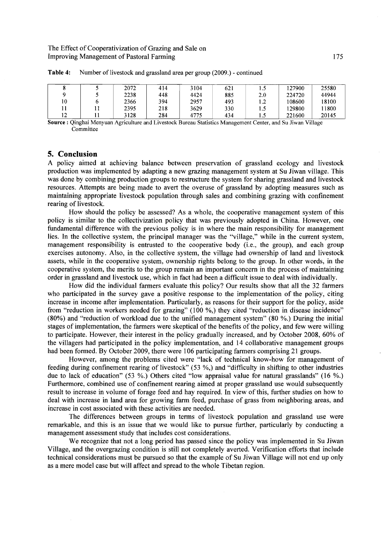|    | 2072 | 414 | 3104 | 621 | L.S | !27900 | 25580 |
|----|------|-----|------|-----|-----|--------|-------|
|    | 2238 | 448 | 4424 | 885 | 2.0 | 224720 | 44944 |
| 10 | 2366 | 394 | 2957 | 493 | 1.2 | 108600 | 18100 |
|    | 2395 | 218 | 3629 | 330 | 1.5 | 29800  | 11800 |
| 12 | 3128 | 284 | 4775 | 434 | 1.5 | 221600 | 20145 |

Table 4: Number of livestock and grassland area per group (2009.) - continued

Source: Qinghai Menyuan Agriculture and Livestock Bureau Statistics Management Center, and Su Jiwan Village **Committee** 

### **5. Conclusion**

A policy aimed at achieving balance between preservation of grassland ecology and livestock production was implemented by adapting a new grazing management system at Su Jiwan village. This was done by combining production groups to restructure the system for sharing grassland and livestock resources. Attempts are being made to avert the overuse of grassland by adopting measures such as maintaining appropriate livestock population through sales and combining grazing with confinement rearing of livestock.

How should the policy be assessed? As a whole, the cooperative management system of this policy is similar to the collectivization policy that was previously adopted in China. However, one fundamental difference with the previous policy is in where the main responsibility for management lies. In the collective system, the principal manager was the "village," while in the current system, management responsibility is entrusted to the cooperative body (i.e., the group), and each group exercises autonomy. Also, in the collective system, the village had ownership of land and livestock assets, while in the cooperative system, ownership rights belong to the group. In other words, in the cooperative system, the merits to the group remain an important concern in the process of maintaining order in grassland and livestock use, which in fact had been a difficult issue to deal with individually.

How did the individual farmers evaluate this policy? Our results show that all the 32 farmers who participated in the survey gave a positive response to the implementation of the policy, citing increase in income after implementation. Particularly, as reasons for their support for the policy, aside from "reduction in workers needed for grazing" (100 %,) they cited "reduction in disease incidence" (80%) and "reduction of workload due to the unified management system" (80 %.) During the initial stages of implementation, the farmers were skeptical of the benefits of the policy, and few were willing to participate. However, their interest in the policy gradually increased, and by October 2008, 60% of the villagers had participated in the policy implementation, and 14 collaborative management groups had been formed. By October 2009, there were 106 participating farmers comprising 21 groups.

However, among the problems cited were "lack of technical know-how for management of feeding during confinement rearing of livestock" (53 %,) and "difficulty in shifting to other industries due to lack of education" (53 %.) Others cited "low appraisal value for natural grasslands" (16 %.) Furthermore, combined use of confinement rearing aimed at proper grassland use would subsequently result to increase in volume of forage feed and hay required. In view of this, further studies on how to deal with increase in land area for growing farm feed, purchase of grass from neighboring areas, and increase in cost associated with these activities are needed.

The differences between groups in terms of livestock population and grassland use were remarkable, and this is an issue that we would like to pursue further, particularly by conducting a management assessment study that includes cost considerations.

We recognize that not a long period has passed since the policy was implemented in Su Jiwan Village, and the overgrazing condition is still not completely averted. Verification efforts that include technical considerations must be pursued so that the example of Su Jiwan Village will not end up only as a mere model case but will affect and spread to the whole Tibetan region.